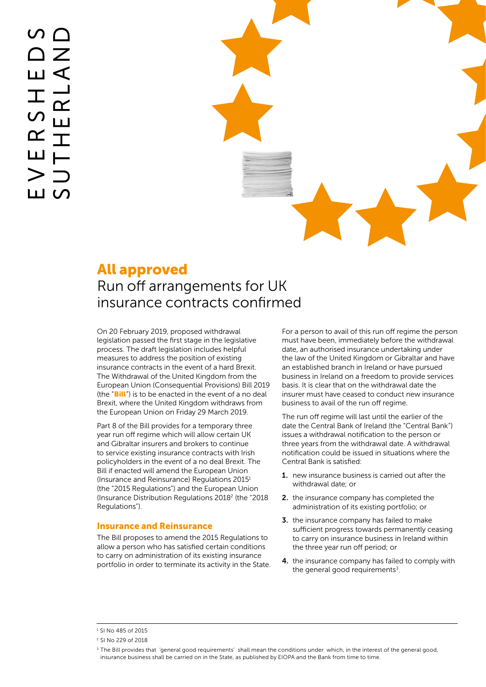# All approved Run off arrangements for UK insurance contracts confirmed

On 20 February 2019, proposed withdrawal legislation passed the first stage in the legislative process. The draft legislation includes helpful measures to address the position of existing insurance contracts in the event of a hard Brexit. The Withdrawal of the United Kingdom from the European Union (Consequential Provisions) Bill 2019 (the  $\mathbf{Bill}$  $\mathbf{Bill}$  $\mathbf{Bill}$ ) is to be enacted in the event of a no deal Brexit, where the United Kingdom withdraws from the European Union on Friday 29 March 2019.

Part 8 of the Bill provides for a temporary three year run off regime which will allow certain UK and Gibraltar insurers and brokers to continue to service existing insurance contracts with Irish policyholders in the event of a no deal Brexit. The Bill if enacted will amend the European Union (Insurance and Reinsurance) Regulations 20151 (the "2015 Regulations") and the European Union (Insurance Distribution Regulations 2018<sup>2</sup> (the "2018 Regulations").

#### Insurance and Reinsurance

The Bill proposes to amend the 2015 Regulations to allow a person who has satisfied certain conditions to carry on administration of its existing insurance portfolio in order to terminate its activity in the State. For a person to avail of this run off regime the person must have been, immediately before the withdrawal date, an authorised insurance undertaking under the law of the United Kingdom or Gibraltar and have an established branch in Ireland or have pursued business in Ireland on a freedom to provide services basis. It is clear that on the withdrawal date the insurer must have ceased to conduct new insurance business to avail of the run off regime.

The run off regime will last until the earlier of the date the Central Bank of Ireland (the "Central Bank") issues a withdrawal notification to the person or three years from the withdrawal date. A withdrawal notification could be issued in situations where the Central Bank is satisfied:

- 1. new insurance business is carried out after the withdrawal date; or
- 2. the insurance company has completed the administration of its existing portfolio; or
- 3. the insurance company has failed to make sufficient progress towards permanently ceasing to carry on insurance business in Ireland within the three year run off period; or
- 4. the insurance company has failed to comply with the general good requirements $3$ .

<sup>1.</sup> SI No 485 of 2015

<sup>2.</sup> SI No 229 of 2018

<sup>3.</sup> The Bill provides that 'general good requirements' shall mean the conditions under which, in the interest of the general good, insurance business shall be carried on in the State, as published by EIOPA and the Bank from time to time.